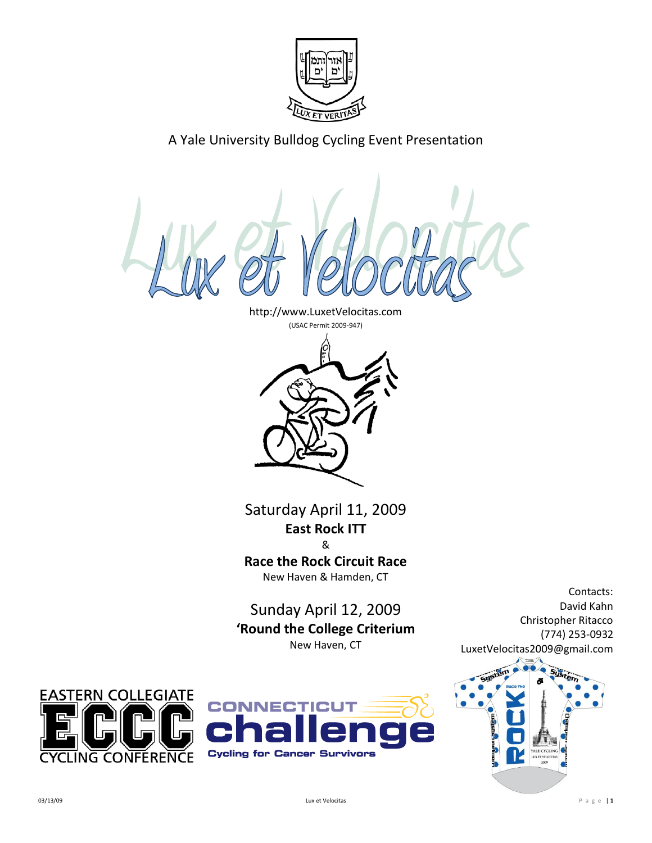

A Yale University Bulldog Cycling Event Presentation

http://www.LuxetVelocitas.com



Saturday April 11, 2009 **East Rock ITT** &

**Race the Rock Circuit Race** New Haven & Hamden, CT

Sunday April 12, 2009 **'Round the College Criterium** New Haven, CT





David Kahn Christopher Ritacco (774) 253-0932 LuxetVelocitas2009@gmail.com



Contacts: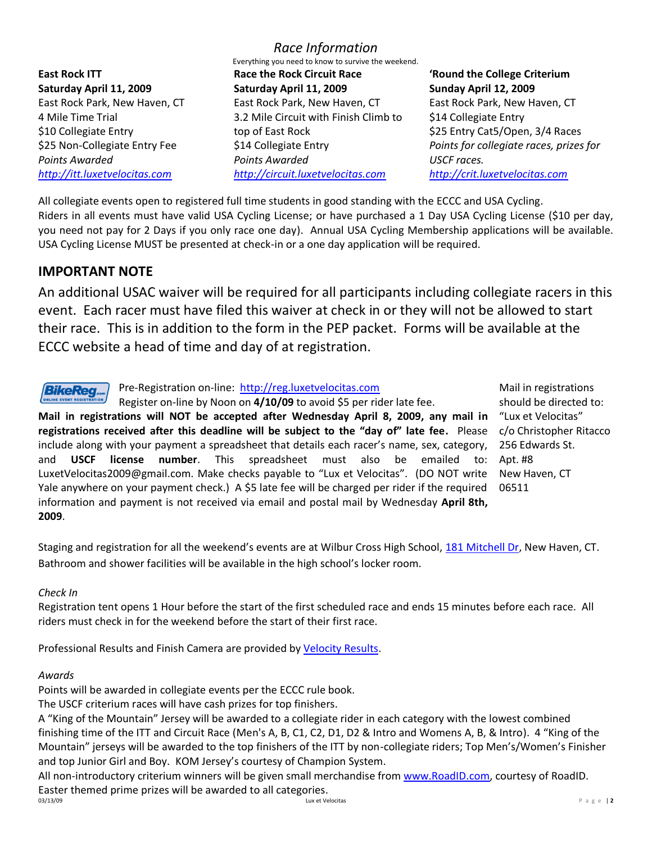**East Rock ITT Saturday April 11, 2009** East Rock Park, New Haven, CT 4 Mile Time Trial \$10 Collegiate Entry \$25 Non-Collegiate Entry Fee *Points Awarded [http://itt.luxetvelocitas.com](http://itt.luxetvelocitas.com/)*

*Race Information* Everything you need to know to survive the weekend. **Race the Rock Circuit Race Saturday April 11, 2009** East Rock Park, New Haven, CT 3.2 Mile Circuit with Finish Climb to top of East Rock \$14 Collegiate Entry *Points Awarded [http://circuit.luxetvelocitas.com](http://circuit.luxetvelocitas.com/)*

# **'Round the College Criterium Sunday April 12, 2009**

East Rock Park, New Haven, CT \$14 Collegiate Entry \$25 Entry Cat5/Open, 3/4 Races *Points for collegiate races, prizes for USCF races. [http://crit.luxetvelocitas.com](http://crit.luxetvelocitas.com/)*

All collegiate events open to registered full time students in good standing with the ECCC and USA Cycling. Riders in all events must have valid USA Cycling License; or have purchased a 1 Day USA Cycling License (\$10 per day, you need not pay for 2 Days if you only race one day). Annual USA Cycling Membership applications will be available. USA Cycling License MUST be presented at check-in or a one day application will be required.

# **IMPORTANT NOTE**

An additional USAC waiver will be required for all participants including collegiate racers in this event. Each racer must have filed this waiver at check in or they will not be allowed to start their race. This is in addition to the form in the PEP packet. Forms will be available at the ECCC website a head of time and day of at registration.



Pre-Registration on-line: [http://reg.luxetvelocitas.com](http://reg.luxetvelocitas.com/)

Register on-line by Noon on **4/10/09** to avoid \$5 per rider late fee.

**Mail in registrations will NOT be accepted after Wednesday April 8, 2009, any mail in registrations received after this deadline will be subject to the "day of" late fee.** Please include along with your payment a spreadsheet that details each racer's name, sex, category, and **USCF license number**. This spreadsheet must also be emailed LuxetVelocitas2009@gmail.com. Make checks payable to "Lux et Velocitas". (DO NOT write Yale anywhere on your payment check.) A \$5 late fee will be charged per rider if the required information and payment is not received via email and postal mail by Wednesday **April 8th, 2009**.

Mail in registrations should be directed to: "Lux et Velocitas" c/o Christopher Ritacco 256 Edwards St. to: Apt. #8 New Haven, CT 06511

Staging and registration for all the weekend's events are at Wilbur Cross High School, [181 Mitchell Dr,](http://maps.google.com/maps?f=q&source=s_q&hl=en&geocode=&q=wilbur+cross+high+school,+new+haven,+ct&sll=37.0625,-95.677068&sspn=27.919765,57.392578&ie=UTF8&ll=41.340731,-72.908535&spn=0.051553,0.112095&z=13&iwloc=A) New Haven, CT. Bathroom and shower facilities will be available in the high school's locker room.

## *Check In*

Registration tent opens 1 Hour before the start of the first scheduled race and ends 15 minutes before each race. All riders must check in for the weekend before the start of their first race.

Professional Results and Finish Camera are provided by [Velocity Results.](http://www.velocityresults.net/)

## *Awards*

Points will be awarded in collegiate events per the ECCC rule book.

The USCF criterium races will have cash prizes for top finishers.

A "King of the Mountain" Jersey will be awarded to a collegiate rider in each category with the lowest combined finishing time of the ITT and Circuit Race (Men's A, B, C1, C2, D1, D2 & Intro and Womens A, B, & Intro). 4 "King of the Mountain" jerseys will be awarded to the top finishers of the ITT by non-collegiate riders; Top Men's/Women's Finisher and top Junior Girl and Boy. KOM Jersey's courtesy of Champion System.

All non-introductory criterium winners will be given small merchandise from [www.RoadID.com,](http://www.roadid.com/) courtesy of RoadID. Easter themed prime prizes will be awarded to all categories.<br> $0.3/13/09$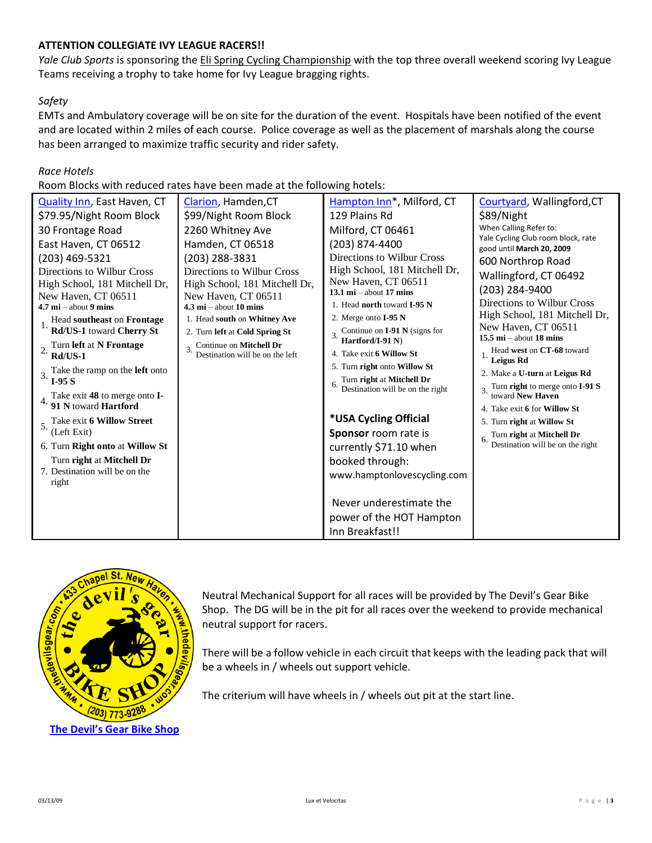## **ATTENTION COLLEGIATE IVY LEAGUE RACERS!!**

*Yale Club Sports* is sponsoring the Eli Spring Cycling Championship with the top three overall weekend scoring Ivy League Teams receiving a trophy to take home for Ivy League bragging rights.

## *Safety*

EMTs and Ambulatory coverage will be on site for the duration of the event. Hospitals have been notified of the event and are located within 2 miles of each course. Police coverage as well as the placement of marshals along the course has been arranged to maximize traffic security and rider safety.

## *Race Hotels*

Room Blocks with reduced rates have been made at the following hotels:

| <b>Quality Inn, East Haven, CT</b>                                            | Clarion, Hamden, CT                                                           | Hampton Inn <sup>*</sup> , Milford, CT                                             | Courtyard, Wallingford, CT                                      |
|-------------------------------------------------------------------------------|-------------------------------------------------------------------------------|------------------------------------------------------------------------------------|-----------------------------------------------------------------|
| \$79.95/Night Room Block                                                      | \$99/Night Room Block                                                         | 129 Plains Rd                                                                      | \$89/Night                                                      |
| 30 Frontage Road                                                              | 2260 Whitney Ave                                                              | Milford, CT 06461                                                                  | When Calling Refer to:                                          |
| East Haven, CT 06512                                                          | Hamden, CT 06518                                                              | (203) 874-4400                                                                     | Yale Cycling Club room block, rate<br>good until March 20, 2009 |
| (203) 469-5321<br>Directions to Wilbur Cross<br>High School, 181 Mitchell Dr, | (203) 288-3831<br>Directions to Wilbur Cross<br>High School, 181 Mitchell Dr, | Directions to Wilbur Cross<br>High School, 181 Mitchell Dr,<br>New Haven, CT 06511 | 600 Northrop Road<br>Wallingford, CT 06492<br>(203) 284-9400    |
| New Haven, CT 06511<br>$4.7 \text{ mi} -$ about 9 mins                        | New Haven, CT 06511<br>$4.3 \text{ mi}$ – about 10 mins                       | 13.1 $\text{mi}$ – about 17 mins<br>1. Head north toward I-95 N                    | Directions to Wilbur Cross                                      |
| Head southeast on Frontage                                                    | 1. Head south on Whitney Ave                                                  | 2. Merge onto I-95 N                                                               | High School, 181 Mitchell Dr,                                   |
| Rd/US-1 toward Cherry St                                                      | 2. Turn left at Cold Spring St                                                | 3. Continue on $I-91$ N (signs for<br>Hartford/I-91 N)                             | New Haven, CT 06511<br>15.5 $\text{mi}$ – about 18 mins         |
| 2. Turn left at N Frontage<br>$Rd/US-1$                                       | Continue on Mitchell Dr<br>Destination will be on the left                    | 4. Take exit 6 Willow St                                                           | Head west on CT-68 toward<br>Leigus Rd                          |
| Take the ramp on the <b>left</b> onto<br>$I-95S$                              |                                                                               | 5. Turn right onto Willow St<br>Turn right at Mitchell Dr                          | 2. Make a U-turn at Leigus Rd                                   |
| Take exit 48 to merge onto I-                                                 |                                                                               | 6.<br>Destination will be on the right                                             | Turn right to merge onto I-91 S<br>toward New Haven             |
| 91 N toward Hartford                                                          |                                                                               |                                                                                    | 4. Take exit 6 for Willow St                                    |
| 5. Take exit 6 Willow Street<br>(Left Exit)                                   |                                                                               | *USA Cycling Official                                                              | 5. Turn right at Willow St                                      |
| 6. Turn Right onto at Willow St                                               |                                                                               | Sponsor room rate is<br>currently \$71.10 when                                     | Turn right at Mitchell Dr<br>Destination will be on the right   |
| Turn right at Mitchell Dr<br>7. Destination will be on the<br>right           |                                                                               | booked through:<br>www.hamptonlovescycling.com                                     |                                                                 |
|                                                                               |                                                                               | Never underestimate the                                                            |                                                                 |
|                                                                               |                                                                               | power of the HOT Hampton                                                           |                                                                 |
|                                                                               |                                                                               | Inn Breakfast!!                                                                    |                                                                 |



Neutral Mechanical Support for all races will be provided by The Devil's Gear Bike Shop. The DG will be in the pit for all races over the weekend to provide mechanical neutral support for racers.

There will be a follow vehicle in each circuit that keeps with the leading pack that will be a wheels in / wheels out support vehicle.

The criterium will have wheels in / wheels out pit at the start line.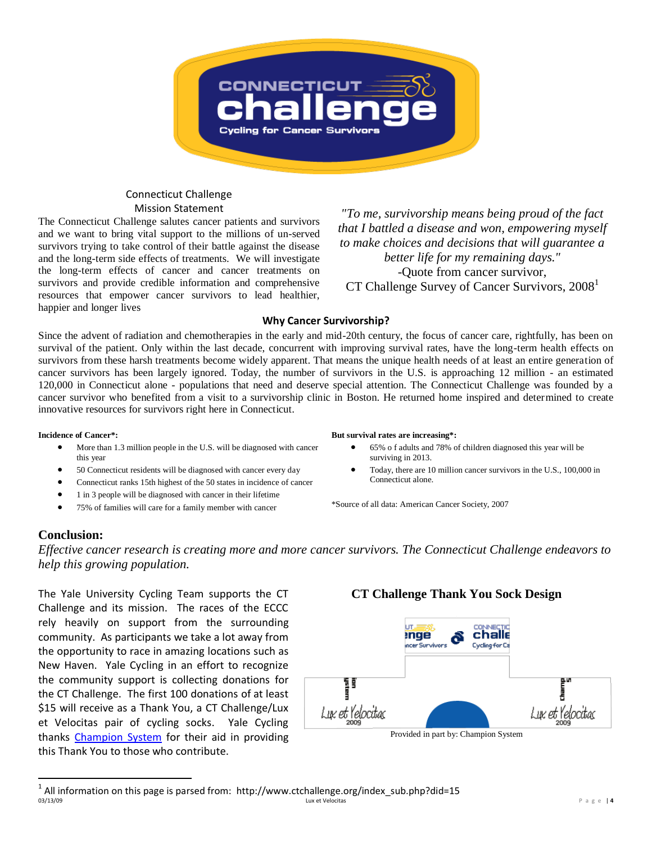

### Connecticut Challenge Mission Statement

The Connecticut Challenge salutes cancer patients and survivors and we want to bring vital support to the millions of un-served survivors trying to take control of their battle against the disease and the long-term side effects of treatments. We will investigate the long-term effects of cancer and cancer treatments on survivors and provide credible information and comprehensive resources that empower cancer survivors to lead healthier, happier and longer lives

*"To me, survivorship means being proud of the fact that I battled a disease and won, empowering myself to make choices and decisions that will guarantee a better life for my remaining days."* -Quote from cancer survivor, CT Challenge Survey of Cancer Survivors, 2008<sup>1</sup>

#### **Why Cancer Survivorship?**

Since the advent of radiation and chemotherapies in the early and mid-20th century, the focus of cancer care, rightfully, has been on survival of the patient. Only within the last decade, concurrent with improving survival rates, have the long-term health effects on survivors from these harsh treatments become widely apparent. That means the unique health needs of at least an entire generation of cancer survivors has been largely ignored. Today, the number of survivors in the U.S. is approaching 12 million - an estimated 120,000 in Connecticut alone - populations that need and deserve special attention. The Connecticut Challenge was founded by a cancer survivor who benefited from a visit to a survivorship clinic in Boston. He returned home inspired and determined to create innovative resources for survivors right here in Connecticut.

#### **Incidence of Cancer\*:**

- More than 1.3 million people in the U.S. will be diagnosed with cancer this year
- 50 Connecticut residents will be diagnosed with cancer every day
- Connecticut ranks 15th highest of the 50 states in incidence of cancer
- 1 in 3 people will be diagnosed with cancer in their lifetime
- 75% of families will care for a family member with cancer

#### **But survival rates are increasing\*:**

- 65% o f adults and 78% of children diagnosed this year will be surviving in 2013.
- Today, there are 10 million cancer survivors in the U.S., 100,000 in Connecticut alone.

\*Source of all data: American Cancer Society, 2007

## **Conclusion:**

 $\overline{a}$ 

*Effective cancer research is creating more and more cancer survivors. The Connecticut Challenge endeavors to help this growing population.* 

The Yale University Cycling Team supports the CT Challenge and its mission. The races of the ECCC rely heavily on support from the surrounding community. As participants we take a lot away from the opportunity to race in amazing locations such as New Haven. Yale Cycling in an effort to recognize the community support is collecting donations for the CT Challenge. The first 100 donations of at least \$15 will receive as a Thank You, a CT Challenge/Lux et Velocitas pair of cycling socks. Yale Cycling thanks [Champion System](http://www.champ-sys.com/) for their aid in providing this Thank You to those who contribute.

## **CT Challenge Thank You Sock Design**



Provided in part by: Champion System

<sup>03/13/09</sup> Lux et Velocitas P a g e | **4**  $^1$  All information on this page is parsed from: http://www.ctchallenge.org/index\_sub.php?did=15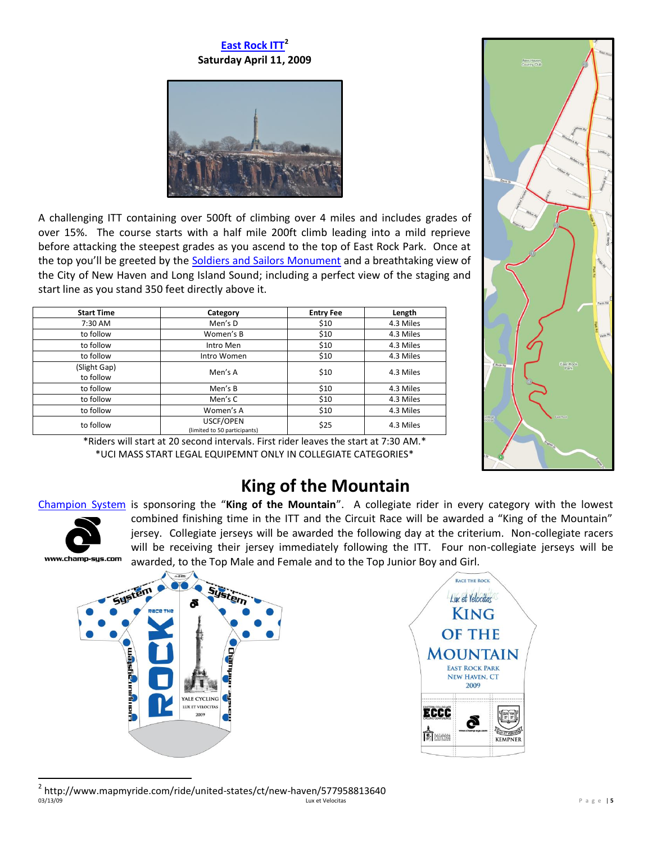# **[East Rock ITT](http://itt.luxetvelocitas.com/)<sup>2</sup> Saturday April 11, 2009**



A challenging ITT containing over 500ft of climbing over 4 miles and includes grades of over 15%. The course starts with a half mile 200ft climb leading into a mild reprieve before attacking the steepest grades as you ascend to the top of East Rock Park. Once at the top you'll be greeted by the [Soldiers and Sailors Monument](http://en.wikipedia.org/wiki/Soldiers_and_Sailors_Monument_%28New_Haven%29) and a breathtaking view of the City of New Haven and Long Island Sound; including a perfect view of the staging and start line as you stand 350 feet directly above it.

| <b>Start Time</b>         | Category                                  | <b>Entry Fee</b> | Length    |
|---------------------------|-------------------------------------------|------------------|-----------|
| 7:30 AM                   | Men's D                                   | \$10             | 4.3 Miles |
| to follow                 | Women's B                                 | \$10             | 4.3 Miles |
| to follow                 | Intro Men                                 | \$10             | 4.3 Miles |
| to follow                 | Intro Women                               | \$10             | 4.3 Miles |
| (Slight Gap)<br>to follow | Men's A                                   | \$10             | 4.3 Miles |
| to follow                 | Men's B                                   | \$10             | 4.3 Miles |
| to follow                 | Men's C                                   | \$10             | 4.3 Miles |
| to follow                 | Women's A                                 | \$10             | 4.3 Miles |
| to follow                 | USCF/OPEN<br>(limited to 50 participants) | \$25             | 4.3 Miles |



\*Riders will start at 20 second intervals. First rider leaves the start at 7:30 AM.\* \*UCI MASS START LEGAL EQUIPEMNT ONLY IN COLLEGIATE CATEGORIES\*

# **King of the Mountain**

## [Champion System](http://www.champ-sys.com/) is sponsoring the "**King of the Mountain**". A collegiate rider in every category with the lowest



combined finishing time in the ITT and the Circuit Race will be awarded a "King of the Mountain" jersey. Collegiate jerseys will be awarded the following day at the criterium. Non-collegiate racers will be receiving their jersey immediately following the ITT. Four non-collegiate jerseys will be awarded, to the Top Male and Female and to the Top Junior Boy and Girl.







03/13/09 Lux et Velocitas P a g e | **5**  $\overline{a}$ 2 http://www.mapmyride.com/ride/united-states/ct/new-haven/577958813640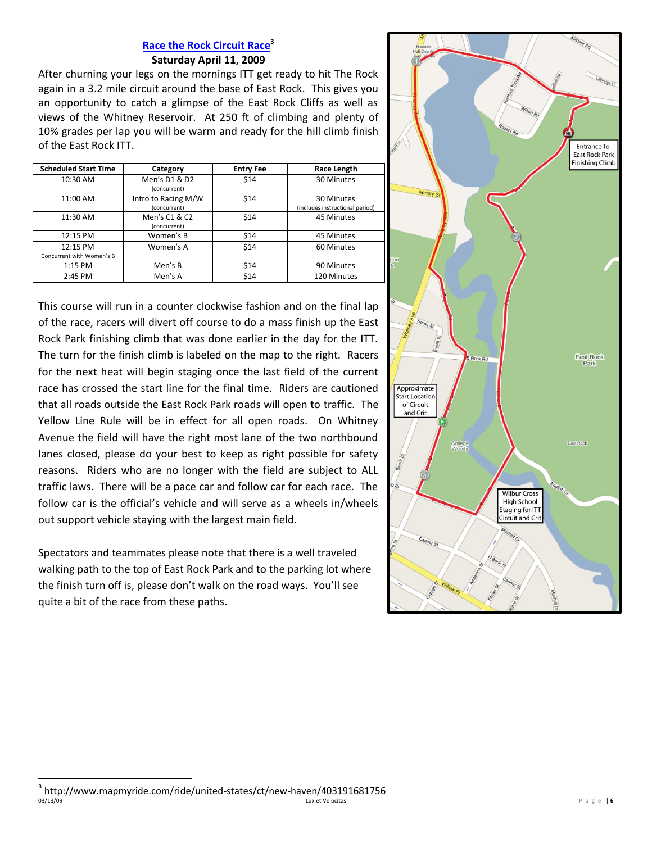## **Race the Rock Circuit Race<sup>3</sup> [Saturday April 11, 2009](http://circuit.luxetvelocitas.com/)**

After churning your legs on the mornings ITT get ready to hit The Rock again in a 3.2 mile circuit around the base of East Rock. This gives you an opportunity to catch a glimpse of the East Rock Cliffs as well as views of the Whitney Reservoir. At 250 ft of climbing and plenty of 10% grades per lap you will be warm and ready for the hill climb finish of the East Rock ITT.

| <b>Scheduled Start Time</b>           | Category                            | <b>Entry Fee</b> | Race Length                                   |
|---------------------------------------|-------------------------------------|------------------|-----------------------------------------------|
| 10:30 AM                              | Men's D1 & D2<br>(concurrent)       | \$14             | 30 Minutes                                    |
| 11:00 AM                              | Intro to Racing M/W<br>(concurrent) | \$14             | 30 Minutes<br>(includes instructional period) |
| 11:30 AM                              | Men's C1 & C2<br>(concurrent)       | \$14             | 45 Minutes                                    |
| 12:15 PM                              | Women's B                           | \$14             | 45 Minutes                                    |
| 12:15 PM<br>Concurrent with Women's B | Women's A                           | \$14             | 60 Minutes                                    |
| $1:15$ PM                             | Men's B                             | \$14             | 90 Minutes                                    |
| 2:45 PM                               | Men's A                             | \$14             | 120 Minutes                                   |

This course will run in a counter clockwise fashion and on the final lap of the race, racers will divert off course to do a mass finish up the East Rock Park finishing climb that was done earlier in the day for the ITT. The turn for the finish climb is labeled on the map to the right. Racers for the next heat will begin staging once the last field of the current race has crossed the start line for the final time. Riders are cautioned that all roads outside the East Rock Park roads will open to traffic. The Yellow Line Rule will be in effect for all open roads. On Whitney Avenue the field will have the right most lane of the two northbound lanes closed, please do your best to keep as right possible for safety reasons. Riders who are no longer with the field are subject to ALL traffic laws. There will be a pace car and follow car for each race. The follow car is the official's vehicle and will serve as a wheels in/wheels out support vehicle staying with the largest main field.

Spectators and teammates please note that there is a well traveled walking path to the top of East Rock Park and to the parking lot where the finish turn off is, please don't walk on the road ways. You'll see quite a bit of the race from these paths.



<sup>03/13/09</sup> Lux et Velocitas P a g e | **6**  $\overline{a}$  $^3$  http://www.mapmyride.com/ride/united-states/ct/new-haven/403191681756